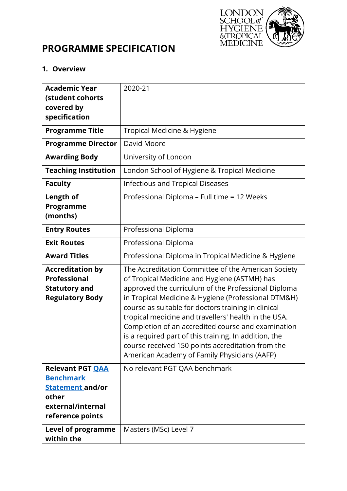

# **PROGRAMME SPECIFICATION**

#### **1. Overview**

| <b>Academic Year</b><br>(student cohorts<br>covered by<br>specification                                           | 2020-21                                                                                                                                                                                                                                                                                                                                                                                                                                                                                                                                              |
|-------------------------------------------------------------------------------------------------------------------|------------------------------------------------------------------------------------------------------------------------------------------------------------------------------------------------------------------------------------------------------------------------------------------------------------------------------------------------------------------------------------------------------------------------------------------------------------------------------------------------------------------------------------------------------|
| <b>Programme Title</b>                                                                                            | Tropical Medicine & Hygiene                                                                                                                                                                                                                                                                                                                                                                                                                                                                                                                          |
| <b>Programme Director</b>                                                                                         | David Moore                                                                                                                                                                                                                                                                                                                                                                                                                                                                                                                                          |
| <b>Awarding Body</b>                                                                                              | University of London                                                                                                                                                                                                                                                                                                                                                                                                                                                                                                                                 |
| <b>Teaching Institution</b>                                                                                       | London School of Hygiene & Tropical Medicine                                                                                                                                                                                                                                                                                                                                                                                                                                                                                                         |
| <b>Faculty</b>                                                                                                    | <b>Infectious and Tropical Diseases</b>                                                                                                                                                                                                                                                                                                                                                                                                                                                                                                              |
| <b>Length of</b><br>Programme<br>(months)                                                                         | Professional Diploma - Full time = 12 Weeks                                                                                                                                                                                                                                                                                                                                                                                                                                                                                                          |
| <b>Entry Routes</b>                                                                                               | Professional Diploma                                                                                                                                                                                                                                                                                                                                                                                                                                                                                                                                 |
| <b>Exit Routes</b>                                                                                                | Professional Diploma                                                                                                                                                                                                                                                                                                                                                                                                                                                                                                                                 |
| <b>Award Titles</b>                                                                                               | Professional Diploma in Tropical Medicine & Hygiene                                                                                                                                                                                                                                                                                                                                                                                                                                                                                                  |
| <b>Accreditation by</b><br><b>Professional</b><br><b>Statutory and</b><br><b>Regulatory Body</b>                  | The Accreditation Committee of the American Society<br>of Tropical Medicine and Hygiene (ASTMH) has<br>approved the curriculum of the Professional Diploma<br>in Tropical Medicine & Hygiene (Professional DTM&H)<br>course as suitable for doctors training in clinical<br>tropical medicine and travellers' health in the USA.<br>Completion of an accredited course and examination<br>is a required part of this training. In addition, the<br>course received 150 points accreditation from the<br>American Academy of Family Physicians (AAFP) |
| <b>Relevant PGT QAA</b><br><b>Benchmark</b><br>Statement and/or<br>other<br>external/internal<br>reference points | No relevant PGT QAA benchmark                                                                                                                                                                                                                                                                                                                                                                                                                                                                                                                        |
| <b>Level of programme</b><br>within the                                                                           | Masters (MSc) Level 7                                                                                                                                                                                                                                                                                                                                                                                                                                                                                                                                |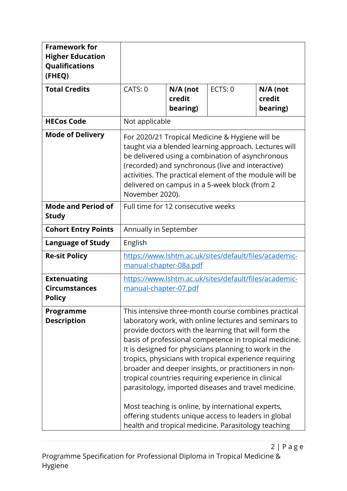| <b>Framework for</b><br><b>Higher Education</b><br>Qualifications<br>(FHEQ) |                                                                                                                                                                                                                                                                                                                                                                                                                                                                                                                                                                                                                                                                                                 |                                |         |                                |  |
|-----------------------------------------------------------------------------|-------------------------------------------------------------------------------------------------------------------------------------------------------------------------------------------------------------------------------------------------------------------------------------------------------------------------------------------------------------------------------------------------------------------------------------------------------------------------------------------------------------------------------------------------------------------------------------------------------------------------------------------------------------------------------------------------|--------------------------------|---------|--------------------------------|--|
| <b>Total Credits</b>                                                        | CATS: 0                                                                                                                                                                                                                                                                                                                                                                                                                                                                                                                                                                                                                                                                                         | N/A (not<br>credit<br>bearing) | ECTS: 0 | N/A (not<br>credit<br>bearing) |  |
| <b>HECos Code</b>                                                           | Not applicable                                                                                                                                                                                                                                                                                                                                                                                                                                                                                                                                                                                                                                                                                  |                                |         |                                |  |
| <b>Mode of Delivery</b>                                                     | For 2020/21 Tropical Medicine & Hygiene will be<br>taught via a blended learning approach. Lectures will<br>be delivered using a combination of asynchronous<br>(recorded) and synchronous (live and interactive)<br>activities. The practical element of the module will be<br>delivered on campus in a 5-week block (from 2<br>November 2020).                                                                                                                                                                                                                                                                                                                                                |                                |         |                                |  |
| <b>Mode and Period of</b><br><b>Study</b>                                   | Full time for 12 consecutive weeks                                                                                                                                                                                                                                                                                                                                                                                                                                                                                                                                                                                                                                                              |                                |         |                                |  |
| <b>Cohort Entry Points</b>                                                  |                                                                                                                                                                                                                                                                                                                                                                                                                                                                                                                                                                                                                                                                                                 | Annually in September          |         |                                |  |
| <b>Language of Study</b>                                                    | English                                                                                                                                                                                                                                                                                                                                                                                                                                                                                                                                                                                                                                                                                         |                                |         |                                |  |
| <b>Re-sit Policy</b>                                                        | https://www.lshtm.ac.uk/sites/default/files/academic-<br><u>manual-chapter-08a.pdf</u>                                                                                                                                                                                                                                                                                                                                                                                                                                                                                                                                                                                                          |                                |         |                                |  |
| <b>Extenuating</b><br><b>Circumstances</b><br><b>Policy</b>                 | https://www.lshtm.ac.uk/sites/default/files/academic-<br>manual-chapter-07.pdf                                                                                                                                                                                                                                                                                                                                                                                                                                                                                                                                                                                                                  |                                |         |                                |  |
| Programme<br><b>Description</b>                                             | This intensive three-month course combines practical<br>laboratory work, with online lectures and seminars to<br>provide doctors with the learning that will form the<br>basis of professional competence in tropical medicine.<br>It is designed for physicians planning to work in the<br>tropics, physicians with tropical experience requiring<br>broader and deeper insights, or practitioners in non-<br>tropical countries requiring experience in clinical<br>parasitology, imported diseases and travel medicine.<br>Most teaching is online, by international experts,<br>offering students unique access to leaders in global<br>health and tropical medicine. Parasitology teaching |                                |         |                                |  |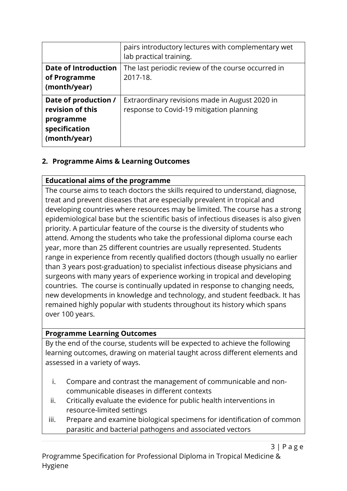|                                                                                        | pairs introductory lectures with complementary wet<br>lab practical training.              |
|----------------------------------------------------------------------------------------|--------------------------------------------------------------------------------------------|
| <b>Date of Introduction</b><br>of Programme<br>(month/year)                            | The last periodic review of the course occurred in<br>2017-18.                             |
| Date of production /<br>revision of this<br>programme<br>specification<br>(month/year) | Extraordinary revisions made in August 2020 in<br>response to Covid-19 mitigation planning |

# **2. Programme Aims & Learning Outcomes**

#### **Educational aims of the programme**

The course aims to teach doctors the skills required to understand, diagnose, treat and prevent diseases that are especially prevalent in tropical and developing countries where resources may be limited. The course has a strong epidemiological base but the scientific basis of infectious diseases is also given priority. A particular feature of the course is the diversity of students who attend. Among the students who take the professional diploma course each year, more than 25 different countries are usually represented. Students range in experience from recently qualified doctors (though usually no earlier than 3 years post-graduation) to specialist infectious disease physicians and surgeons with many years of experience working in tropical and developing countries. The course is continually updated in response to changing needs, new developments in knowledge and technology, and student feedback. It has remained highly popular with students throughout its history which spans over 100 years.

## **Programme Learning Outcomes**

By the end of the course, students will be expected to achieve the following learning outcomes, drawing on material taught across different elements and assessed in a variety of ways.

- i. Compare and contrast the management of communicable and noncommunicable diseases in different contexts
- ii. Critically evaluate the evidence for public health interventions in resource-limited settings
- iii. Prepare and examine biological specimens for identification of common parasitic and bacterial pathogens and associated vectors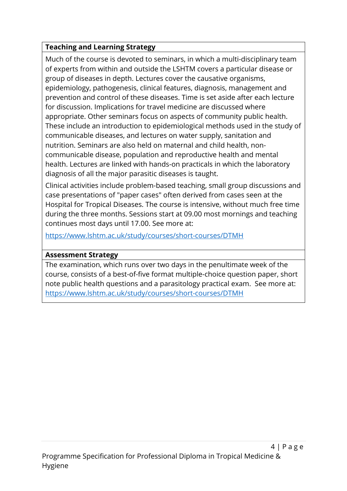# **Teaching and Learning Strategy**

Much of the course is devoted to seminars, in which a multi-disciplinary team of experts from within and outside the LSHTM covers a particular disease or group of diseases in depth. Lectures cover the causative organisms, epidemiology, pathogenesis, clinical features, diagnosis, management and prevention and control of these diseases. Time is set aside after each lecture for discussion. Implications for travel medicine are discussed where appropriate. Other seminars focus on aspects of community public health. These include an introduction to epidemiological methods used in the study of communicable diseases, and lectures on water supply, sanitation and nutrition. Seminars are also held on maternal and child health, noncommunicable disease, population and reproductive health and mental health. Lectures are linked with hands-on practicals in which the laboratory diagnosis of all the major parasitic diseases is taught.

Clinical activities include problem-based teaching, small group discussions and case presentations of "paper cases" often derived from cases seen at the Hospital for Tropical Diseases. The course is intensive, without much free time during the three months. Sessions start at 09.00 most mornings and teaching continues most days until 17.00. See more at:

https://www.lshtm.ac.uk/study/courses/short-courses/DTMH

## **Assessment Strategy**

The examination, which runs over two days in the penultimate week of the course, consists of a best-of-five format multiple-choice question paper, short note public health questions and a parasitology practical exam. See more at: https://www.lshtm.ac.uk/study/courses/short-courses/DTMH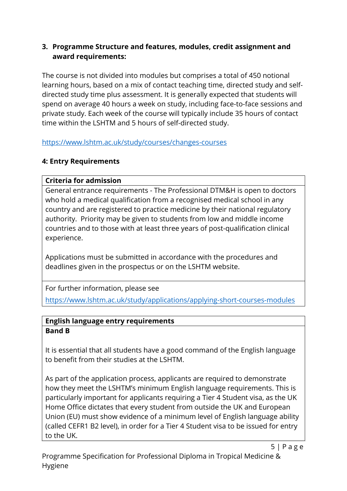## **3. Programme Structure and features, modules, credit assignment and award requirements:**

The course is not divided into modules but comprises a total of 450 notional learning hours, based on a mix of contact teaching time, directed study and selfdirected study time plus assessment. It is generally expected that students will spend on average 40 hours a week on study, including face-to-face sessions and private study. Each week of the course will typically include 35 hours of contact time within the LSHTM and 5 hours of self-directed study.

https://www.lshtm.ac.uk/study/courses/changes-courses

# **4: Entry Requirements**

# **Criteria for admission**

General entrance requirements - The Professional DTM&H is open to doctors who hold a medical qualification from a recognised medical school in any country and are registered to practice medicine by their national regulatory authority. Priority may be given to students from low and middle income countries and to those with at least three years of post-qualification clinical experience.

Applications must be submitted in accordance with the procedures and deadlines given in the prospectus or on the LSHTM website.

For further information, please see

https://www.lshtm.ac.uk/study/applications/applying-short-courses-modules

#### **English language entry requirements Band B**

It is essential that all students have a good command of the English language to benefit from their studies at the LSHTM.

As part of the application process, applicants are required to demonstrate how they meet the LSHTM's minimum English language requirements. This is particularly important for applicants requiring a Tier 4 Student visa, as the UK Home Office dictates that every student from outside the UK and European Union (EU) must show evidence of a minimum level of English language ability (called CEFR1 B2 level), in order for a Tier 4 Student visa to be issued for entry to the UK.